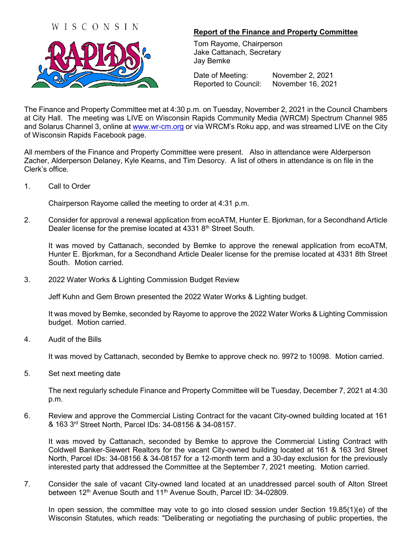## WISCONSIN



## **Report of the Finance and Property Committee**

Tom Rayome, Chairperson Jake Cattanach, Secretary Jay Bemke

Date of Meeting: November 2, 2021 Reported to Council: November 16, 2021

The Finance and Property Committee met at 4:30 p.m. on Tuesday, November 2, 2021 in the Council Chambers at City Hall. The meeting was LIVE on Wisconsin Rapids Community Media (WRCM) Spectrum Channel 985 and Solarus Channel 3, online at [www.wr-cm.org](http://www.wr-cm.org/) or via WRCM's Roku app, and was streamed LIVE on the City of Wisconsin Rapids Facebook page.

All members of the Finance and Property Committee were present. Also in attendance were Alderperson Zacher, Alderperson Delaney, Kyle Kearns, and Tim Desorcy. A list of others in attendance is on file in the Clerk's office.

1. Call to Order

Chairperson Rayome called the meeting to order at 4:31 p.m.

2. Consider for approval a renewal application from ecoATM, Hunter E. Bjorkman, for a Secondhand Article Dealer license for the premise located at 4331 8<sup>th</sup> Street South.

It was moved by Cattanach, seconded by Bemke to approve the renewal application from ecoATM, Hunter E. Bjorkman, for a Secondhand Article Dealer license for the premise located at 4331 8th Street South. Motion carried.

3. 2022 Water Works & Lighting Commission Budget Review

Jeff Kuhn and Gem Brown presented the 2022 Water Works & Lighting budget.

It was moved by Bemke, seconded by Rayome to approve the 2022 Water Works & Lighting Commission budget. Motion carried.

4. Audit of the Bills

It was moved by Cattanach, seconded by Bemke to approve check no. 9972 to 10098. Motion carried.

5. Set next meeting date

The next regularly schedule Finance and Property Committee will be Tuesday, December 7, 2021 at 4:30 p.m.

6. Review and approve the Commercial Listing Contract for the vacant City-owned building located at 161 & 163 3rd Street North, Parcel IDs: 34-08156 & 34-08157.

It was moved by Cattanach, seconded by Bemke to approve the Commercial Listing Contract with Coldwell Banker-Siewert Realtors for the vacant City-owned building located at 161 & 163 3rd Street North, Parcel IDs: 34-08156 & 34-08157 for a 12-month term and a 30-day exclusion for the previously interested party that addressed the Committee at the September 7, 2021 meeting. Motion carried.

7. Consider the sale of vacant City-owned land located at an unaddressed parcel south of Alton Street between 12<sup>th</sup> Avenue South and 11<sup>th</sup> Avenue South, Parcel ID: 34-02809.

In open session, the committee may vote to go into closed session under Section 19.85(1)(e) of the Wisconsin Statutes, which reads: "Deliberating or negotiating the purchasing of public properties, the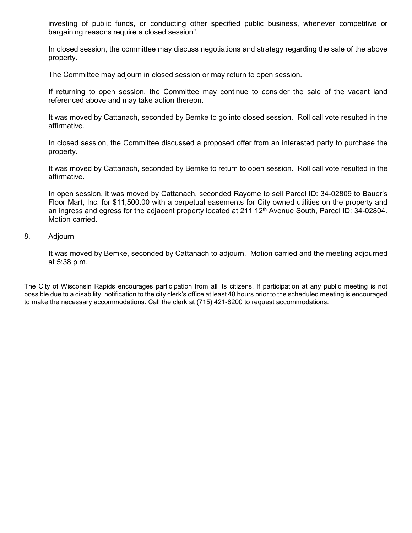investing of public funds, or conducting other specified public business, whenever competitive or bargaining reasons require a closed session".

In closed session, the committee may discuss negotiations and strategy regarding the sale of the above property.

The Committee may adjourn in closed session or may return to open session.

If returning to open session, the Committee may continue to consider the sale of the vacant land referenced above and may take action thereon.

It was moved by Cattanach, seconded by Bemke to go into closed session. Roll call vote resulted in the affirmative.

In closed session, the Committee discussed a proposed offer from an interested party to purchase the property.

It was moved by Cattanach, seconded by Bemke to return to open session. Roll call vote resulted in the affirmative.

In open session, it was moved by Cattanach, seconded Rayome to sell Parcel ID: 34-02809 to Bauer's Floor Mart, Inc. for \$11,500.00 with a perpetual easements for City owned utilities on the property and an ingress and egress for the adjacent property located at 211 12<sup>th</sup> Avenue South, Parcel ID: 34-02804. Motion carried.

## 8. Adjourn

It was moved by Bemke, seconded by Cattanach to adjourn. Motion carried and the meeting adjourned at 5:38 p.m.

The City of Wisconsin Rapids encourages participation from all its citizens. If participation at any public meeting is not possible due to a disability, notification to the city clerk's office at least 48 hours prior to the scheduled meeting is encouraged to make the necessary accommodations. Call the clerk at (715) 421-8200 to request accommodations.